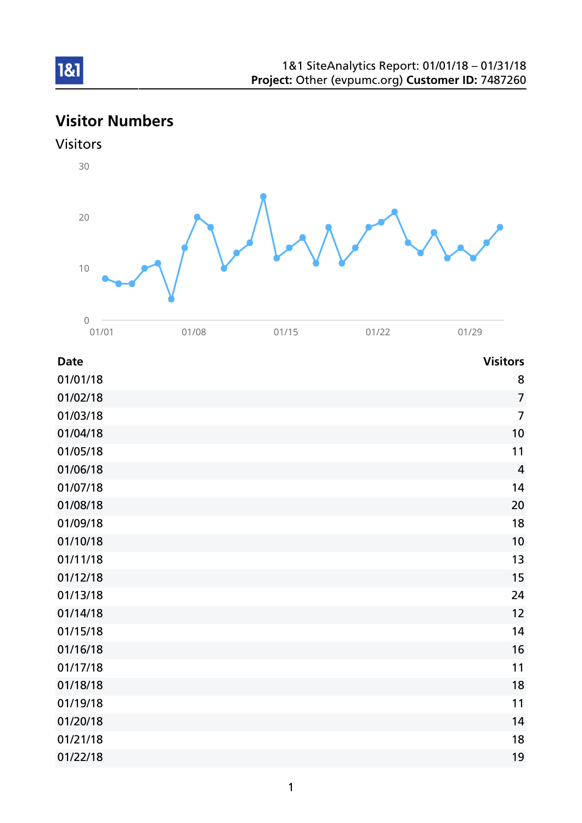# Visitor Numbers





| <b>Date</b> | <b>Visitors</b> |
|-------------|-----------------|
| 01/01/18    | 8               |
| 01/02/18    | $\overline{7}$  |
| 01/03/18    | $\overline{7}$  |
| 01/04/18    | 10              |
| 01/05/18    | 11              |
| 01/06/18    | $\overline{4}$  |
| 01/07/18    | 14              |
| 01/08/18    | 20              |
| 01/09/18    | 18              |
| 01/10/18    | 10              |
| 01/11/18    | 13              |
| 01/12/18    | 15              |
| 01/13/18    | 24              |
| 01/14/18    | 12              |
| 01/15/18    | 14              |
| 01/16/18    | 16              |
| 01/17/18    | 11              |
| 01/18/18    | 18              |
| 01/19/18    | 11              |
| 01/20/18    | 14              |
| 01/21/18    | 18              |
| 01/22/18    | 19              |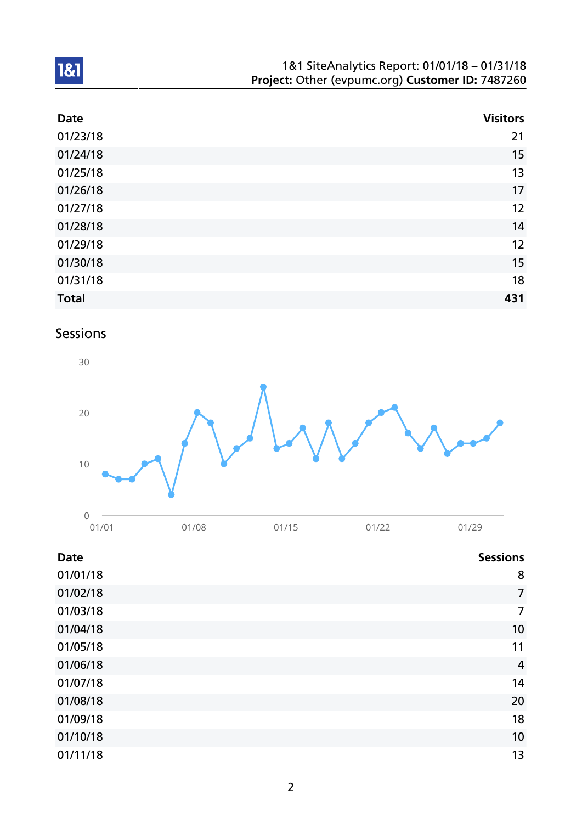| 1&1 SiteAnalytics Report: 01/01/18 - 01/31/18    |  |
|--------------------------------------------------|--|
| Project: Other (evpumc.org) Customer ID: 7487260 |  |

| <b>Date</b>  | <b>Visitors</b> |
|--------------|-----------------|
| 01/23/18     | 21              |
| 01/24/18     | 15              |
| 01/25/18     | 13              |
| 01/26/18     | 17              |
| 01/27/18     | 12              |
| 01/28/18     | 14              |
| 01/29/18     | 12              |
| 01/30/18     | 15              |
| 01/31/18     | 18              |
| <b>Total</b> | 431             |

# Sessions



| <b>Date</b> | <b>Sessions</b> |
|-------------|-----------------|
| 01/01/18    | 8               |
| 01/02/18    | $\overline{7}$  |
| 01/03/18    | $\overline{7}$  |
| 01/04/18    | 10              |
| 01/05/18    | 11              |
| 01/06/18    | $\overline{4}$  |
| 01/07/18    | 14              |
| 01/08/18    | 20              |
| 01/09/18    | 18              |
| 01/10/18    | 10              |
| 01/11/18    | 13              |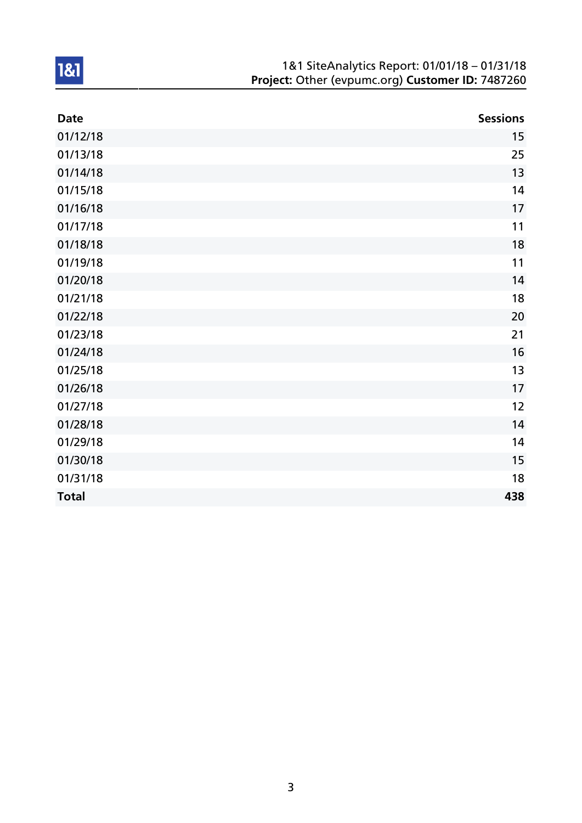| 1&1 SiteAnalytics Report: 01/01/18 - 01/31/18    |
|--------------------------------------------------|
| Project: Other (evpumc.org) Customer ID: 7487260 |

| <b>Date</b>  | <b>Sessions</b> |
|--------------|-----------------|
| 01/12/18     | 15              |
| 01/13/18     | 25              |
| 01/14/18     | 13              |
| 01/15/18     | 14              |
| 01/16/18     | 17              |
| 01/17/18     | 11              |
| 01/18/18     | 18              |
| 01/19/18     | 11              |
| 01/20/18     | 14              |
| 01/21/18     | 18              |
| 01/22/18     | 20              |
| 01/23/18     | 21              |
| 01/24/18     | 16              |
| 01/25/18     | 13              |
| 01/26/18     | 17              |
| 01/27/18     | 12              |
| 01/28/18     | 14              |
| 01/29/18     | 14              |
| 01/30/18     | 15              |
| 01/31/18     | 18              |
| <b>Total</b> | 438             |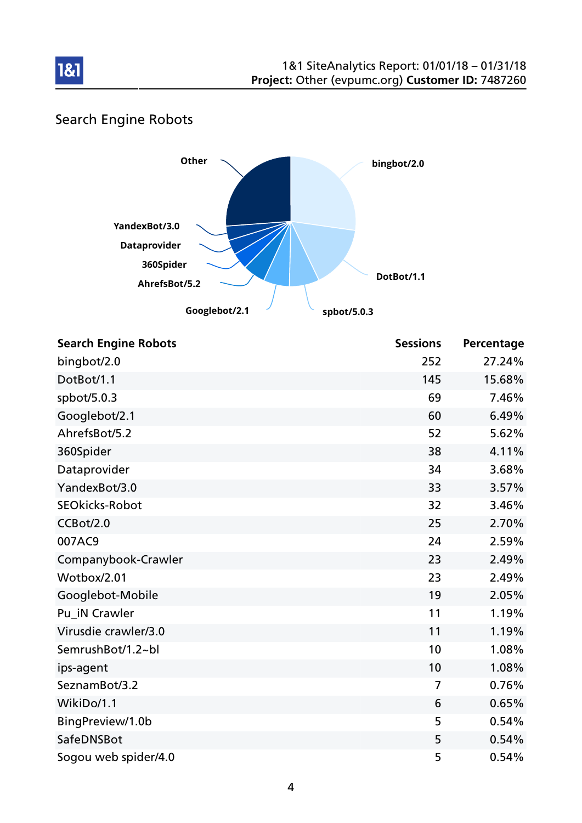

# Search Engine Robots

181



| <b>Search Engine Robots</b> | <b>Sessions</b> | Percentage |
|-----------------------------|-----------------|------------|
| bingbot/2.0                 | 252             | 27.24%     |
| DotBot/1.1                  | 145             | 15.68%     |
| spbot/5.0.3                 | 69              | 7.46%      |
| Googlebot/2.1               | 60              | 6.49%      |
| AhrefsBot/5.2               | 52              | 5.62%      |
| 360Spider                   | 38              | 4.11%      |
| Dataprovider                | 34              | 3.68%      |
| YandexBot/3.0               | 33              | 3.57%      |
| <b>SEOkicks-Robot</b>       | 32              | 3.46%      |
| CCBot/2.0                   | 25              | 2.70%      |
| 007AC9                      | 24              | 2.59%      |
| Companybook-Crawler         | 23              | 2.49%      |
| Wotbox/2.01                 | 23              | 2.49%      |
| Googlebot-Mobile            | 19              | 2.05%      |
| Pu_iN Crawler               | 11              | 1.19%      |
| Virusdie crawler/3.0        | 11              | 1.19%      |
| SemrushBot/1.2~bl           | 10              | 1.08%      |
| ips-agent                   | 10              | 1.08%      |
| SeznamBot/3.2               | $\overline{7}$  | 0.76%      |
| WikiDo/1.1                  | 6               | 0.65%      |
| BingPreview/1.0b            | 5               | 0.54%      |
| SafeDNSBot                  | 5               | 0.54%      |
| Sogou web spider/4.0        | 5               | 0.54%      |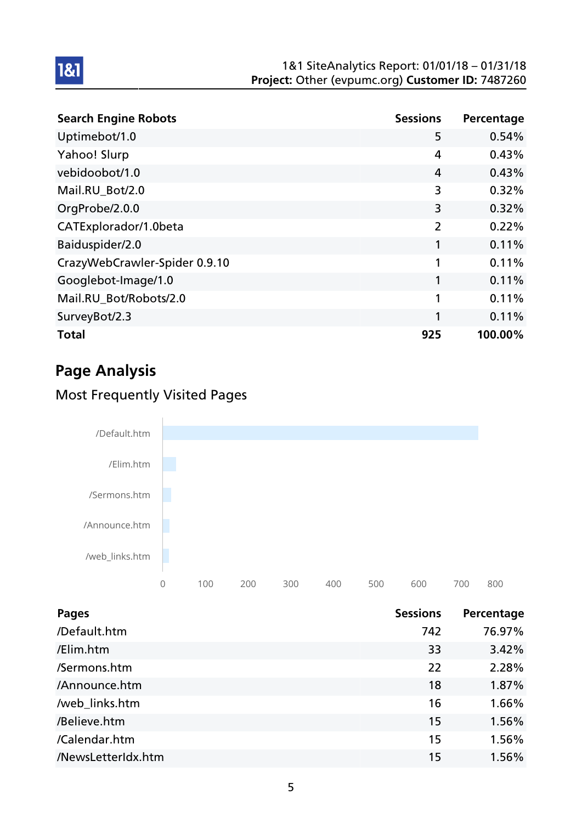| <b>Search Engine Robots</b>   | <b>Sessions</b> | Percentage |
|-------------------------------|-----------------|------------|
| Uptimebot/1.0                 | 5               | 0.54%      |
| Yahoo! Slurp                  | 4               | 0.43%      |
| vebidoobot/1.0                | 4               | 0.43%      |
| Mail.RU_Bot/2.0               | 3               | 0.32%      |
| OrgProbe/2.0.0                | 3               | 0.32%      |
| CATExplorador/1.0beta         | $\overline{2}$  | 0.22%      |
| Baiduspider/2.0               | 1               | 0.11%      |
| CrazyWebCrawler-Spider 0.9.10 | 1               | 0.11%      |
| Googlebot-Image/1.0           | 1               | 0.11%      |
| Mail.RU_Bot/Robots/2.0        | 1               | 0.11%      |
| SurveyBot/2.3                 | 1               | 0.11%      |
| <b>Total</b>                  | 925             | 100.00%    |

# Page Analysis

1&1

# Most Frequently Visited Pages



| <b>Pages</b>       | <b>Sessions</b> | Percentage |
|--------------------|-----------------|------------|
| /Default.htm       | 742             | 76.97%     |
| /Elim.htm          | 33              | 3.42%      |
| /Sermons.htm       | 22              | 2.28%      |
| /Announce.htm      | 18              | 1.87%      |
| /web_links.htm     | 16              | 1.66%      |
| /Believe.htm       | 15              | 1.56%      |
| /Calendar.htm      | 15              | 1.56%      |
| /NewsLetterIdx.htm | 15              | 1.56%      |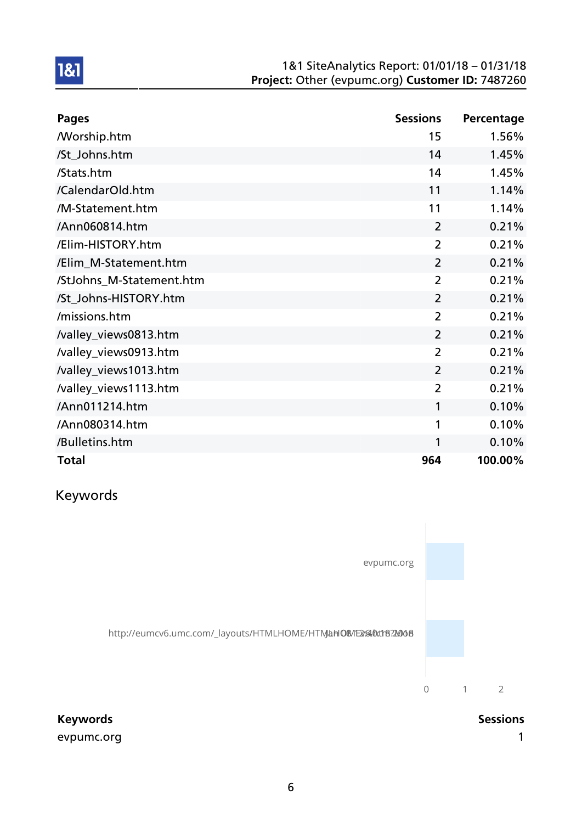| <b>Pages</b>             | <b>Sessions</b> | Percentage |
|--------------------------|-----------------|------------|
| <b>Morship.htm</b>       | 15              | 1.56%      |
| /St_Johns.htm            | 14              | 1.45%      |
| /Stats.htm               | 14              | 1.45%      |
| /CalendarOld.htm         | 11              | 1.14%      |
| /M-Statement.htm         | 11              | 1.14%      |
| /Ann060814.htm           | $\overline{2}$  | 0.21%      |
| /Elim-HISTORY.htm        | $\overline{2}$  | 0.21%      |
| /Elim_M-Statement.htm    | $\overline{2}$  | 0.21%      |
| /StJohns_M-Statement.htm | $\overline{2}$  | 0.21%      |
| /St_Johns-HISTORY.htm    | $\overline{2}$  | 0.21%      |
| /missions.htm            | $\overline{2}$  | 0.21%      |
| /valley_views0813.htm    | $\overline{2}$  | 0.21%      |
| /valley_views0913.htm    | $\overline{2}$  | 0.21%      |
| /valley_views1013.htm    | $\overline{2}$  | 0.21%      |
| /valley_views1113.htm    | $\overline{2}$  | 0.21%      |
| /Ann011214.htm           | 1               | 0.10%      |
| /Ann080314.htm           | 1               | 0.10%      |
| /Bulletins.htm           | 1               | 0.10%      |
| <b>Total</b>             | 964             | 100.00%    |

Keywords

1&1



evpumc.org in the contract of the contract of the contract of the contract of the contract of the contract of the contract of the contract of the contract of the contract of the contract of the contract of the contract of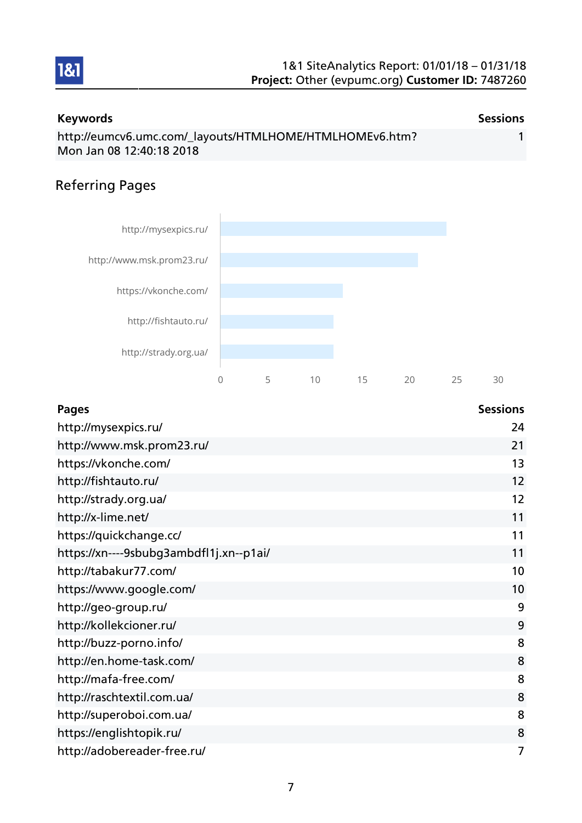

#### Keywords **Sessions** Sessions http://eumcv6.umc.com/\_layouts/HTMLHOME/HTMLHOMEv6.htm? Mon Jan 08 12:40:18 2018 1

## Referring Pages



| <b>Pages</b>                            | <b>Sessions</b> |
|-----------------------------------------|-----------------|
| http://mysexpics.ru/                    | 24              |
| http://www.msk.prom23.ru/               | 21              |
| https://vkonche.com/                    | 13              |
| http://fishtauto.ru/                    | 12              |
| http://strady.org.ua/                   | 12              |
| http://x-lime.net/                      | 11              |
| https://quickchange.cc/                 | 11              |
| https://xn----9sbubg3ambdfl1j.xn--p1ai/ | 11              |
| http://tabakur77.com/                   | 10              |
| https://www.google.com/                 | 10              |
| http://geo-group.ru/                    | 9               |
| http://kollekcioner.ru/                 | 9               |
| http://buzz-porno.info/                 | 8               |
| http://en.home-task.com/                | 8               |
| http://mafa-free.com/                   | 8               |
| http://raschtextil.com.ua/              | 8               |
| http://superoboi.com.ua/                | 8               |
| https://englishtopik.ru/                | 8               |
| http://adobereader-free.ru/             | 7               |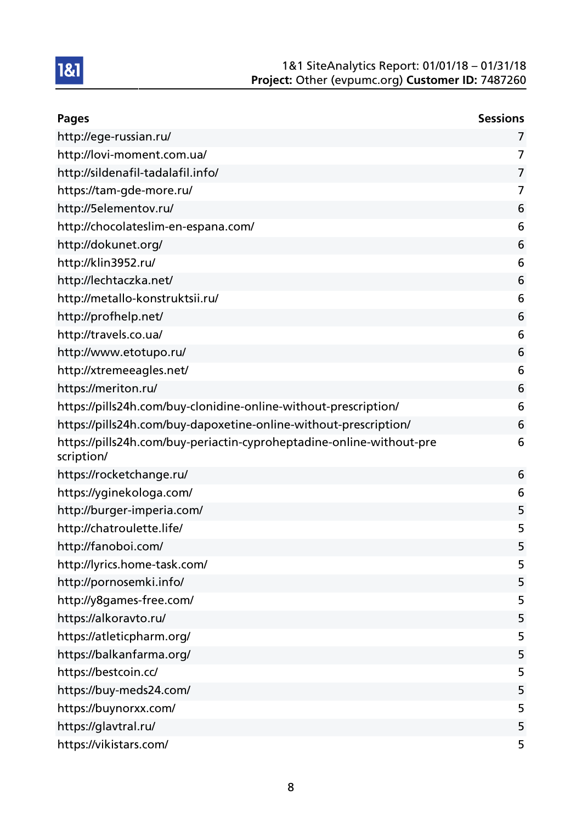| <b>Pages</b>                                                                       | <b>Sessions</b> |
|------------------------------------------------------------------------------------|-----------------|
| http://ege-russian.ru/                                                             | 7               |
| http://lovi-moment.com.ua/                                                         | 7               |
| http://sildenafil-tadalafil.info/                                                  | 7               |
| https://tam-gde-more.ru/                                                           | 7               |
| http://5elementov.ru/                                                              | 6               |
| http://chocolateslim-en-espana.com/                                                | 6               |
| http://dokunet.org/                                                                | 6               |
| http://klin3952.ru/                                                                | 6               |
| http://lechtaczka.net/                                                             | 6               |
| http://metallo-konstruktsii.ru/                                                    | 6               |
| http://profhelp.net/                                                               | 6               |
| http://travels.co.ua/                                                              | 6               |
| http://www.etotupo.ru/                                                             | 6               |
| http://xtremeeagles.net/                                                           | 6               |
| https://meriton.ru/                                                                | 6               |
| https://pills24h.com/buy-clonidine-online-without-prescription/                    | 6               |
| https://pills24h.com/buy-dapoxetine-online-without-prescription/                   | 6               |
| https://pills24h.com/buy-periactin-cyproheptadine-online-without-pre<br>scription/ | 6               |
| https://rocketchange.ru/                                                           | 6               |
| https://yginekologa.com/                                                           | 6               |
| http://burger-imperia.com/                                                         | 5               |
| http://chatroulette.life/                                                          | 5               |
| http://fanoboi.com/                                                                | 5               |
| http://lyrics.home-task.com/                                                       | 5               |
| http://pornosemki.info/                                                            | 5               |
| http://y8games-free.com/                                                           | 5               |
| https://alkoravto.ru/                                                              | 5               |
| https://atleticpharm.org/                                                          | 5               |
| https://balkanfarma.org/                                                           | 5               |
| https://bestcoin.cc/                                                               | 5               |
| https://buy-meds24.com/                                                            | 5               |
| https://buynorxx.com/                                                              | 5               |
| https://glavtral.ru/                                                               | 5               |
| https://vikistars.com/                                                             | 5               |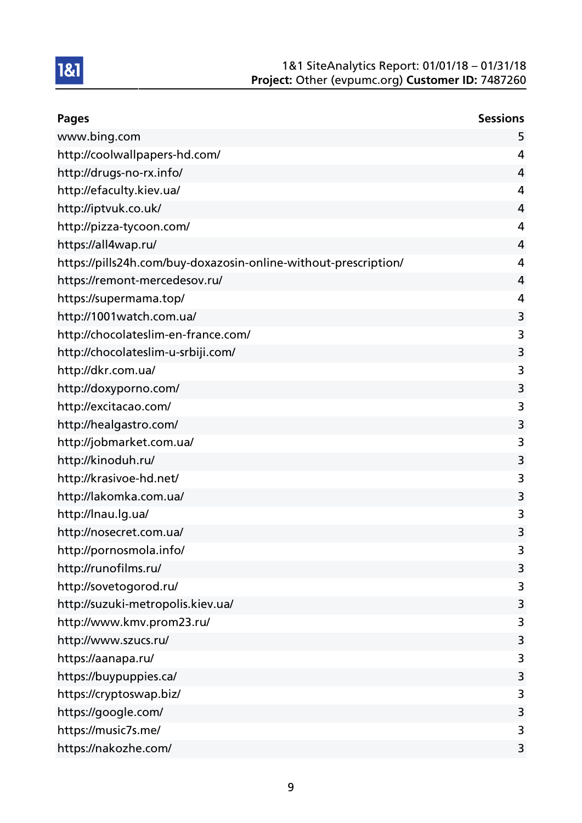| <b>Pages</b>                                                    | <b>Sessions</b> |
|-----------------------------------------------------------------|-----------------|
| www.bing.com                                                    | 5               |
| http://coolwallpapers-hd.com/                                   | 4               |
| http://drugs-no-rx.info/                                        | 4               |
| http://efaculty.kiev.ua/                                        | 4               |
| http://iptvuk.co.uk/                                            | 4               |
| http://pizza-tycoon.com/                                        | 4               |
| https://all4wap.ru/                                             | 4               |
| https://pills24h.com/buy-doxazosin-online-without-prescription/ | 4               |
| https://remont-mercedesov.ru/                                   | 4               |
| https://supermama.top/                                          | 4               |
| http://1001watch.com.ua/                                        | 3               |
| http://chocolateslim-en-france.com/                             | 3               |
| http://chocolateslim-u-srbiji.com/                              | 3               |
| http://dkr.com.ua/                                              | 3               |
| http://doxyporno.com/                                           | 3               |
| http://excitacao.com/                                           | 3               |
| http://healgastro.com/                                          | 3               |
| http://jobmarket.com.ua/                                        | 3               |
| http://kinoduh.ru/                                              | 3               |
| http://krasivoe-hd.net/                                         | 3               |
| http://lakomka.com.ua/                                          | 3               |
| http://lnau.lg.ua/                                              | 3               |
| http://nosecret.com.ua/                                         | 3               |
| http://pornosmola.info/                                         | 3               |
| http://runofilms.ru/                                            | 3               |
| http://sovetogorod.ru/                                          | 3               |
| http://suzuki-metropolis.kiev.ua/                               | 3               |
| http://www.kmv.prom23.ru/                                       | 3               |
| http://www.szucs.ru/                                            | 3               |
| https://aanapa.ru/                                              | 3               |
| https://buypuppies.ca/                                          | 3               |
| https://cryptoswap.biz/                                         | 3               |
| https://google.com/                                             | 3               |
| https://music7s.me/                                             | 3               |
| https://nakozhe.com/                                            | 3               |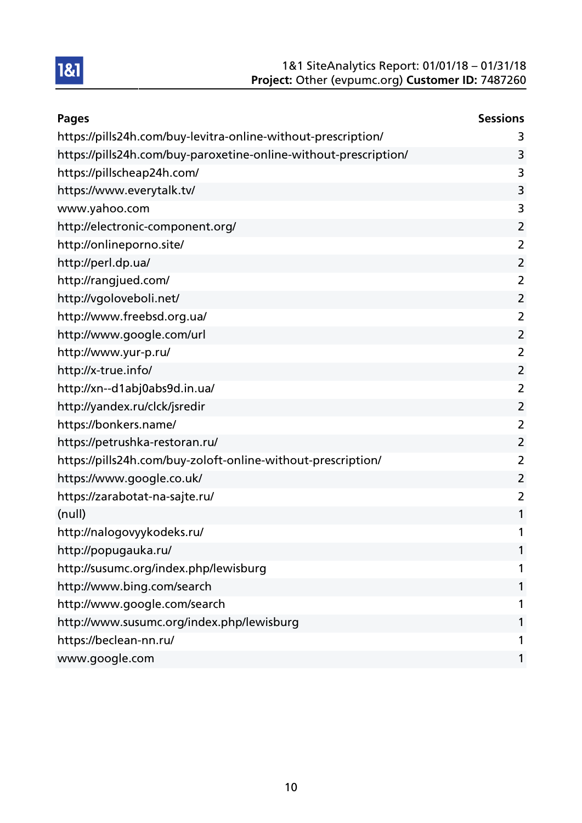| <b>Pages</b>                                                     | <b>Sessions</b> |
|------------------------------------------------------------------|-----------------|
| https://pills24h.com/buy-levitra-online-without-prescription/    | 3               |
| https://pills24h.com/buy-paroxetine-online-without-prescription/ | 3               |
| https://pillscheap24h.com/                                       | 3               |
| https://www.everytalk.tv/                                        | 3               |
| www.yahoo.com                                                    | 3               |
| http://electronic-component.org/                                 | $\overline{2}$  |
| http://onlineporno.site/                                         | $\overline{2}$  |
| http://perl.dp.ua/                                               | $\overline{2}$  |
| http://rangjued.com/                                             | $\overline{2}$  |
| http://vgoloveboli.net/                                          | $\overline{2}$  |
| http://www.freebsd.org.ua/                                       | $\overline{2}$  |
| http://www.google.com/url                                        | $\overline{2}$  |
| http://www.yur-p.ru/                                             | $\overline{2}$  |
| http://x-true.info/                                              | $\overline{2}$  |
| http://xn--d1abj0abs9d.in.ua/                                    | 2               |
| http://yandex.ru/clck/jsredir                                    | $\overline{2}$  |
| https://bonkers.name/                                            | $\overline{2}$  |
| https://petrushka-restoran.ru/                                   | $\overline{2}$  |
| https://pills24h.com/buy-zoloft-online-without-prescription/     | $\overline{2}$  |
| https://www.google.co.uk/                                        | $\overline{2}$  |
| https://zarabotat-na-sajte.ru/                                   | $\overline{2}$  |
| (null)                                                           | 1               |
| http://nalogovyykodeks.ru/                                       | 1               |
| http://popugauka.ru/                                             |                 |
| http://susumc.org/index.php/lewisburg                            |                 |
| http://www.bing.com/search                                       |                 |
| http://www.google.com/search                                     |                 |
| http://www.susumc.org/index.php/lewisburg                        | 1               |
| https://beclean-nn.ru/                                           | 1               |
| www.google.com                                                   | 1               |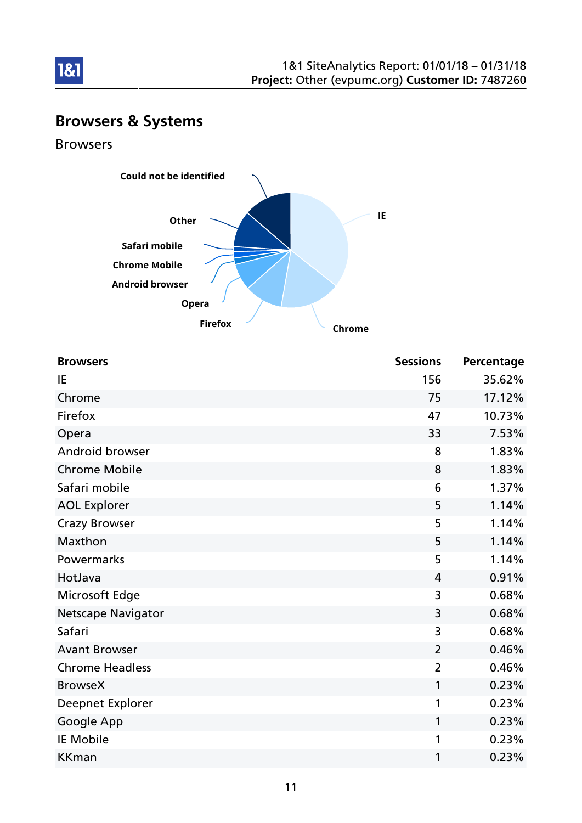

# Browsers & Systems

Browsers



| <b>Browsers</b>           | <b>Sessions</b> | Percentage |
|---------------------------|-----------------|------------|
| IE                        | 156             | 35.62%     |
| Chrome                    | 75              | 17.12%     |
| Firefox                   | 47              | 10.73%     |
| Opera                     | 33              | 7.53%      |
| Android browser           | 8               | 1.83%      |
| <b>Chrome Mobile</b>      | 8               | 1.83%      |
| Safari mobile             | 6               | 1.37%      |
| <b>AOL Explorer</b>       | 5               | 1.14%      |
| <b>Crazy Browser</b>      | 5               | 1.14%      |
| Maxthon                   | 5               | 1.14%      |
| Powermarks                | 5               | 1.14%      |
| HotJava                   | 4               | 0.91%      |
| Microsoft Edge            | 3               | 0.68%      |
| <b>Netscape Navigator</b> | 3               | 0.68%      |
| Safari                    | 3               | 0.68%      |
| <b>Avant Browser</b>      | $\overline{2}$  | 0.46%      |
| <b>Chrome Headless</b>    | $\overline{2}$  | 0.46%      |
| <b>BrowseX</b>            | 1               | 0.23%      |
| Deepnet Explorer          | 1               | 0.23%      |
| Google App                | 1               | 0.23%      |
| <b>IE Mobile</b>          | 1               | 0.23%      |
| <b>KKman</b>              | 1               | 0.23%      |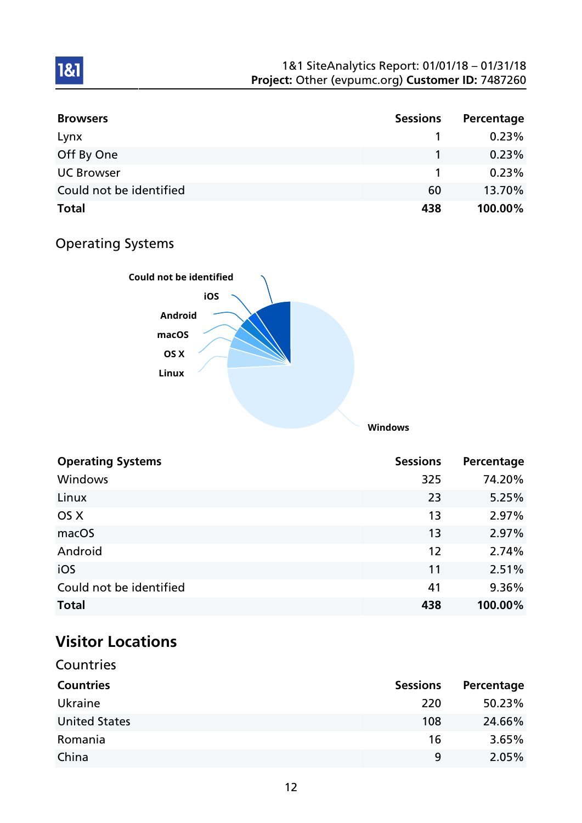| <b>Browsers</b>         | <b>Sessions</b> | Percentage |
|-------------------------|-----------------|------------|
| Lynx                    |                 | 0.23%      |
| Off By One              |                 | 0.23%      |
| <b>UC Browser</b>       |                 | 0.23%      |
| Could not be identified | 60              | 13.70%     |
| <b>Total</b>            | 438             | 100.00%    |

# Operating Systems

1&1



| <b>Operating Systems</b> | <b>Sessions</b> | Percentage |
|--------------------------|-----------------|------------|
| Windows                  | 325             | 74.20%     |
| Linux                    | 23              | 5.25%      |
| OS X                     | 13              | 2.97%      |
| macOS                    | 13              | 2.97%      |
| Android                  | 12              | 2.74%      |
| iOS                      | 11              | 2.51%      |
| Could not be identified  | 41              | 9.36%      |
| <b>Total</b>             | 438             | 100.00%    |

# Visitor Locations

| Countries            |                 |            |
|----------------------|-----------------|------------|
| <b>Countries</b>     | <b>Sessions</b> | Percentage |
| Ukraine              | 220             | 50.23%     |
| <b>United States</b> | 108             | 24.66%     |
| Romania              | 16              | 3.65%      |
| China                | 9               | 2.05%      |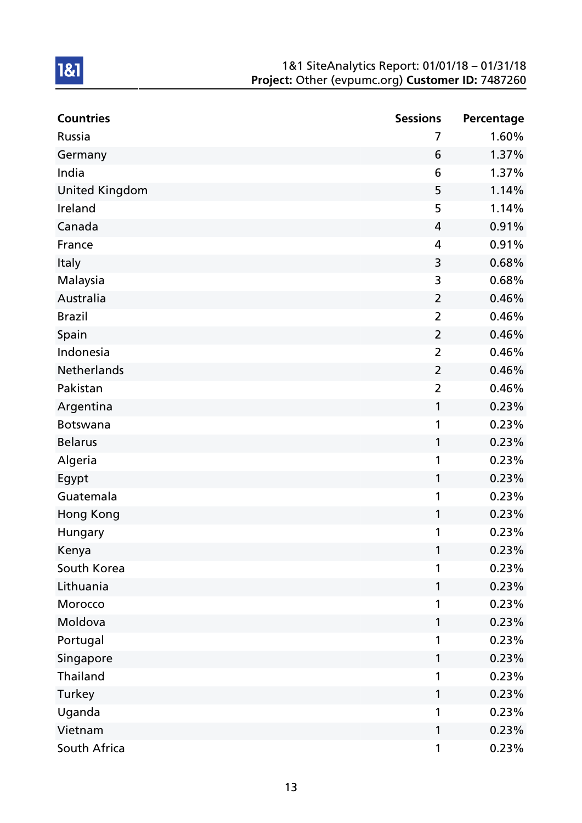| <b>Countries</b>      | <b>Sessions</b> | Percentage |
|-----------------------|-----------------|------------|
| Russia                | 7               | 1.60%      |
| Germany               | 6               | 1.37%      |
| India                 | 6               | 1.37%      |
| <b>United Kingdom</b> | 5               | 1.14%      |
| Ireland               | 5               | 1.14%      |
| Canada                | 4               | 0.91%      |
| France                | 4               | 0.91%      |
| Italy                 | 3               | 0.68%      |
| Malaysia              | 3               | 0.68%      |
| Australia             | $\overline{2}$  | 0.46%      |
| <b>Brazil</b>         | $\overline{2}$  | 0.46%      |
| Spain                 | $\overline{2}$  | 0.46%      |
| Indonesia             | $\overline{2}$  | 0.46%      |
| Netherlands           | $\overline{2}$  | 0.46%      |
| Pakistan              | $\overline{2}$  | 0.46%      |
| Argentina             | 1               | 0.23%      |
| <b>Botswana</b>       | 1               | 0.23%      |
| <b>Belarus</b>        | 1               | 0.23%      |
| Algeria               | 1               | 0.23%      |
| Egypt                 | 1               | 0.23%      |
| Guatemala             | 1               | 0.23%      |
| Hong Kong             | 1               | 0.23%      |
| Hungary               | 1               | 0.23%      |
| Kenya                 | 1               | 0.23%      |
| South Korea           | 1               | 0.23%      |
| Lithuania             | 1               | 0.23%      |
| Morocco               | 1               | 0.23%      |
| Moldova               | 1               | 0.23%      |
| Portugal              | 1               | 0.23%      |
| Singapore             | 1               | 0.23%      |
| Thailand              | 1               | 0.23%      |
| Turkey                | 1               | 0.23%      |
| Uganda                | 1               | 0.23%      |
| Vietnam               | 1               | 0.23%      |
| South Africa          | $\mathbf 1$     | 0.23%      |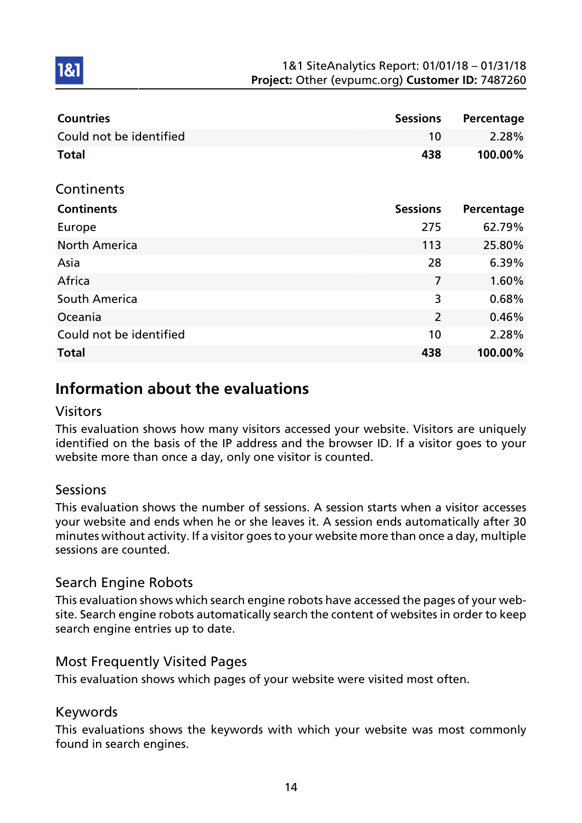| <b>Countries</b>        | <b>Sessions</b> | Percentage |
|-------------------------|-----------------|------------|
| Could not be identified | 10              | 2.28%      |
| <b>Total</b>            | 438             | 100.00%    |
| Continents              |                 |            |
| <b>Continents</b>       | <b>Sessions</b> | Percentage |
| Europe                  | 275             | 62.79%     |
| <b>North America</b>    | 113             | 25.80%     |
| Asia                    | 28              | 6.39%      |
| Africa                  | 7               | 1.60%      |
| South America           | 3               | 0.68%      |
| Oceania                 | $\overline{2}$  | 0.46%      |
| Could not be identified | 10              | 2.28%      |
| <b>Total</b>            | 438             | 100.00%    |

# Information about the evaluations

### Visitors

1&1

This evaluation shows how many visitors accessed your website. Visitors are uniquely identified on the basis of the IP address and the browser ID. If a visitor goes to your website more than once a day, only one visitor is counted.

## Sessions

This evaluation shows the number of sessions. A session starts when a visitor accesses your website and ends when he or she leaves it. A session ends automatically after 30 minutes without activity. If a visitor goes to your website more than once a day, multiple sessions are counted.

## Search Engine Robots

This evaluation shows which search engine robots have accessed the pages of your website. Search engine robots automatically search the content of websites in order to keep search engine entries up to date.

## Most Frequently Visited Pages

This evaluation shows which pages of your website were visited most often.

### Keywords

This evaluations shows the keywords with which your website was most commonly found in search engines.